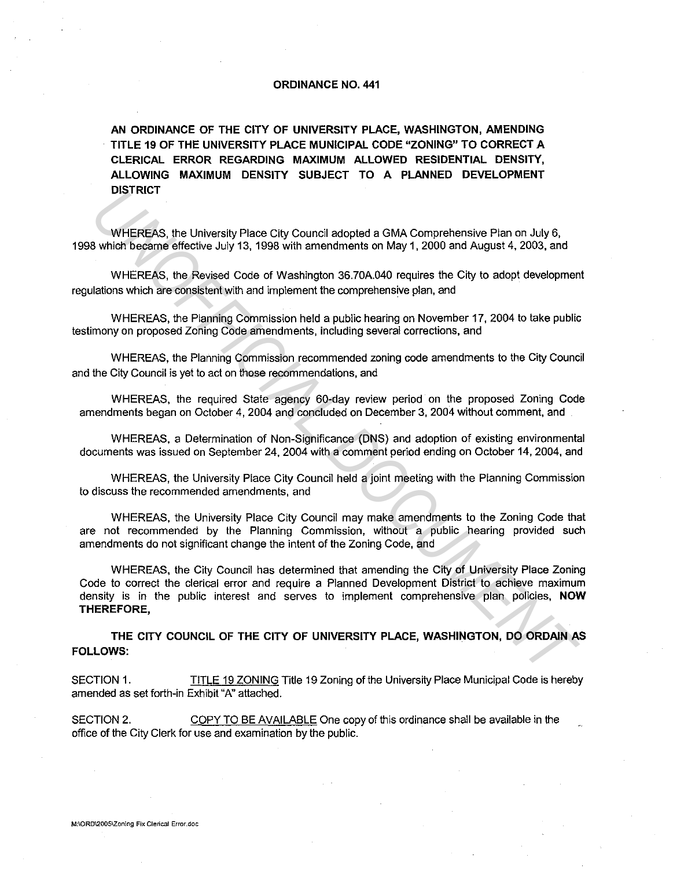## **ORDINANCE NO. 441**

**AN ORDINANCE OF THE CITY OF UNIVERSITY PLACE, WASHINGTON, AMENDING TITLE 19 OF THE UNIVERSITY PLACE MUNICIPAL CODE "ZONING" TO CORRECT A CLERICAL ERROR REGARDING MAXIMUM ALLOWED RESIDENTIAL DENSITY, ALLOWING MAXIMUM DENSITY SUBJECT TO A PLANNED DEVELOPMENT DISTRICT** 

WHEREAS. the University Place City Council adopted a GMA Comprehensive Plan on July 6, 1998 which became effective July 13, 1998 with amendments on May 1, 2000 and August 4, 2003, and

WHEREAS, the Revised Code of Washington 36.70A.040 requires the City to adopt development regulations which are consistent with and implement the comprehensive plan, and

WHEREAS, the Planning Commission held a public hearing on November 17, 2004 to take public testimony on proposed Zoning Code amendments, including several corrections, and

WHEREAS, the Planning Commission recommended zoning code amendments to the City Council and the City Council is yet to act on those recommendations, and

WHEREAS, the required State agency 60-day review period on the proposed Zoning Code amendments began on October 4, 2004 and concluded on December 3, 2004 without comment, and

WHEREAS, a Determination of Non-Significance (DNS) and adoption of existing environmental documents was issued on September 24. 2004 with a comment period ending on October 14, 2004, and

WHEREAS, the University Place City Council held a joint meeting with the Planning Commission to discuss the recommended amendments, and

WHEREAS, the University Place City Council may make amendments to the Zoning Code that are not recommended by the Planning Commission, without a public hearing provided such amendments do not significant change the intent of the Zoning Code, and

WHEREAS, the City Council has determined that amending the City of University Place Zoning Code to correct the clerical error and require a Planned Development District to achieve maximum density is in the public interest and serves to implement comprehensive plan policies, **NOW THEREFORE, UNISH RICT**<br>
WHEREAS, the University Place City Council adopted a GMA Comprehensive Plan on July 6,<br>
WHEREAS, the Revised Code of Washington 36,70A,040 requires the City to adopt development<br>
Ilations which are consistent

**THE CITY COUNCIL OF THE CITY OF UNIVERSITY PLACE, WASHINGTON, DO ORDAIN AS FOLLOWS:** 

SECTION 1. TITLE 19 ZONING Title 19 Zoning of the University Place Municipal Code is hereby amended as set forth-in Exhibit "A" attached.

SECTION 2. COPY TO BE AVAILABLE One copy of this ordinance shall be available in the office of the City Clerk for use and examination by the public.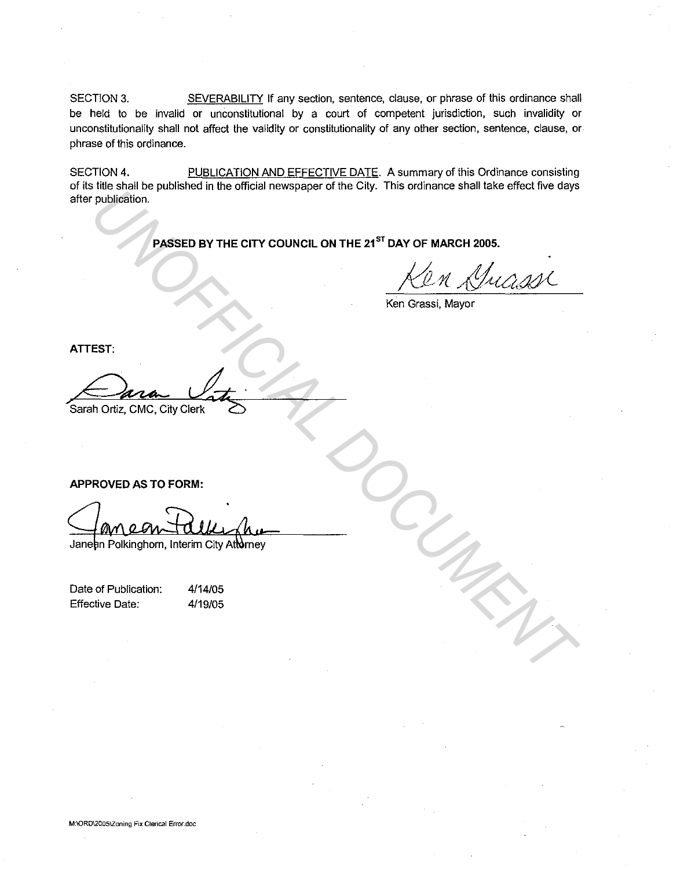SECTION 3. SEVERABILITY If any section, sentence, clause, or phrase of this ordinance shall be held to be invalid or unconstitutional by a court of competent jurisdiction, such invalidity or unconstitutionality shall not affect the validity or constitutionality of any other section, sentence, clause, or phrase of this ordinance.

SECTION 4. PUBLICATION AND EFFECTIVE DATE. A summary of this Ordinance consisting of its title shall be published in the official newspaper of the City. This ordinance shall take effect five days after publication. PROSED BY THE CITY COUNCIL ON THE 21<sup>5T</sup> DAY OF MARCH 2005.<br> **UNITED BY THE CITY COUNCIL ON THE 21<sup>5T</sup> DAY OF MARCH 2005.**<br> **UNITED ASSED BY THE CITY COUNCIL ON THE 21<sup>ST</sup> DAY OF MARCH 2005.**<br> **UNITED ASSED BY THE CITY COU** 

PASSED BY THE CITY COUNCIL ON THE 21<sup>ST</sup> DAY OF MARCH 2005.

Ken Grassi, Mayor

**ATTEST:** 

Sarah Ortiz, CMC, City Clerk

**APPROVED AS TO FORM:** 

Date of Publication: Effective Date:

4/14/05 4/19/05

**M:\QRD\2005\Zoning Fix Clerical Error.doc**